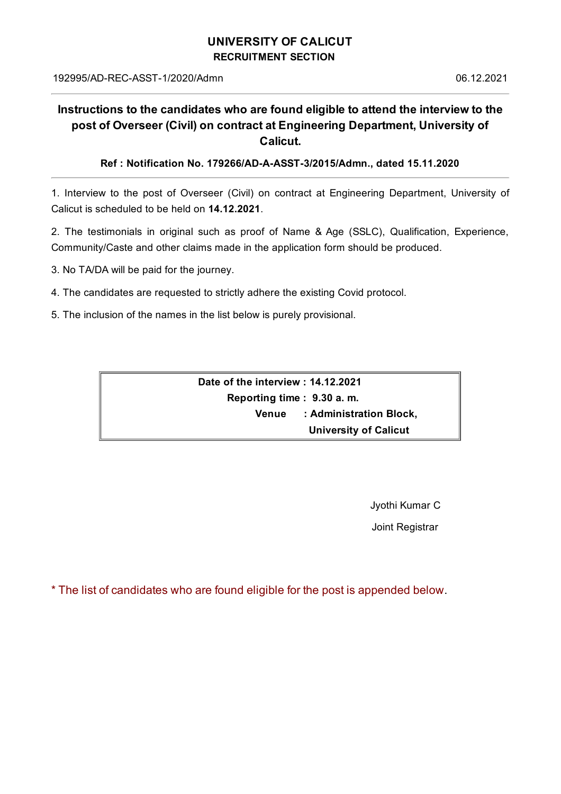## **UNIVERSITY OF CALICUT RECRUITMENT SECTION**

## **Instructions to the candidates who are found eligible to attend the interview to the post of Overseer (Civil) on contract at Engineering Department, University of Calicut.**

**Ref : Notification No. 179266/AD-A-ASST-3/2015/Admn., dated 15.11.2020**

1. Interview to the post of Overseer (Civil) on contract at Engineering Department, University of Calicut is scheduled to be held on **14.12.2021**.

2. The testimonials in original such as proof of Name & Age (SSLC), Qualification, Experience, Community/Caste and other claims made in the application form should be produced.

3. No TA/DA will be paid for the journey.

- 4. The candidates are requested to strictly adhere the existing Covid protocol.
- 5. The inclusion of the names in the list below is purely provisional.

**Date of the interview : 14.12.2021 Reporting time : 9.30 a. m. Venue : Administration Block, University of Calicut**

Jyothi Kumar C

Joint Registrar

\* The list of candidates who are found eligible for the post is appended below.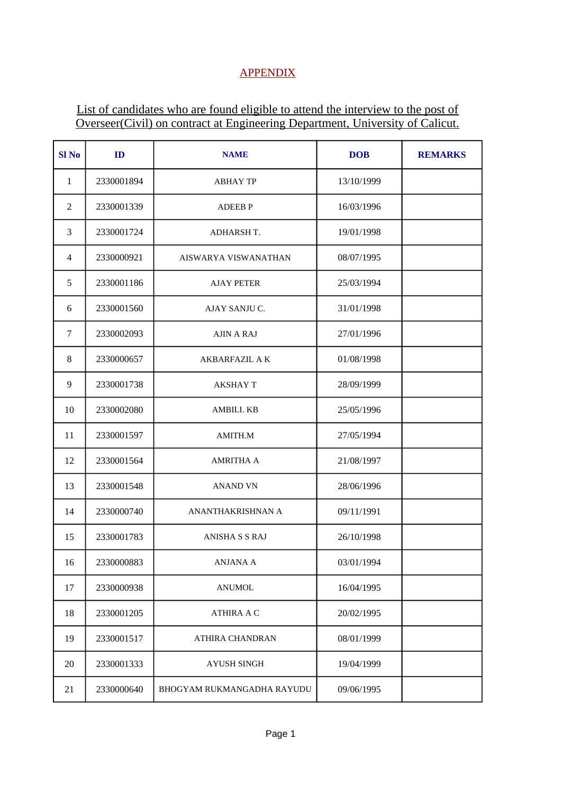## **APPENDIX**

## List of candidates who are found eligible to attend the interview to the post of Overseer(Civil) on contract at Engineering Department, University of Calicut.

| Sl <sub>No</sub> | ID         | <b>NAME</b>                 | <b>DOB</b> | <b>REMARKS</b> |
|------------------|------------|-----------------------------|------------|----------------|
| $\mathbf{1}$     | 2330001894 | <b>ABHAY TP</b>             | 13/10/1999 |                |
| $\overline{2}$   | 2330001339 | <b>ADEEBP</b>               | 16/03/1996 |                |
| 3                | 2330001724 | <b>ADHARSH T.</b>           | 19/01/1998 |                |
| $\overline{4}$   | 2330000921 | <b>AISWARYA VISWANATHAN</b> | 08/07/1995 |                |
| 5                | 2330001186 | <b>AJAY PETER</b>           | 25/03/1994 |                |
| 6                | 2330001560 | AJAY SANJU C.               | 31/01/1998 |                |
| 7                | 2330002093 | <b>AJIN A RAJ</b>           | 27/01/1996 |                |
| 8                | 2330000657 | <b>AKBARFAZIL A K</b>       | 01/08/1998 |                |
| 9                | 2330001738 | <b>AKSHAY T</b>             | 28/09/1999 |                |
| 10               | 2330002080 | AMBILI. KB                  | 25/05/1996 |                |
| 11               | 2330001597 | AMITH.M                     | 27/05/1994 |                |
| 12               | 2330001564 | <b>AMRITHA A</b>            | 21/08/1997 |                |
| 13               | 2330001548 | <b>ANAND VN</b>             | 28/06/1996 |                |
| 14               | 2330000740 | ANANTHAKRISHNAN A           | 09/11/1991 |                |
| 15               | 2330001783 | <b>ANISHA S S RAJ</b>       | 26/10/1998 |                |
| 16               | 2330000883 | ANJANA A                    | 03/01/1994 |                |
| 17               | 2330000938 | <b>ANUMOL</b>               | 16/04/1995 |                |
| 18               | 2330001205 | <b>ATHIRA A C</b>           | 20/02/1995 |                |
| 19               | 2330001517 | ATHIRA CHANDRAN             | 08/01/1999 |                |
| 20               | 2330001333 | <b>AYUSH SINGH</b>          | 19/04/1999 |                |
| 21               | 2330000640 | BHOGYAM RUKMANGADHA RAYUDU  | 09/06/1995 |                |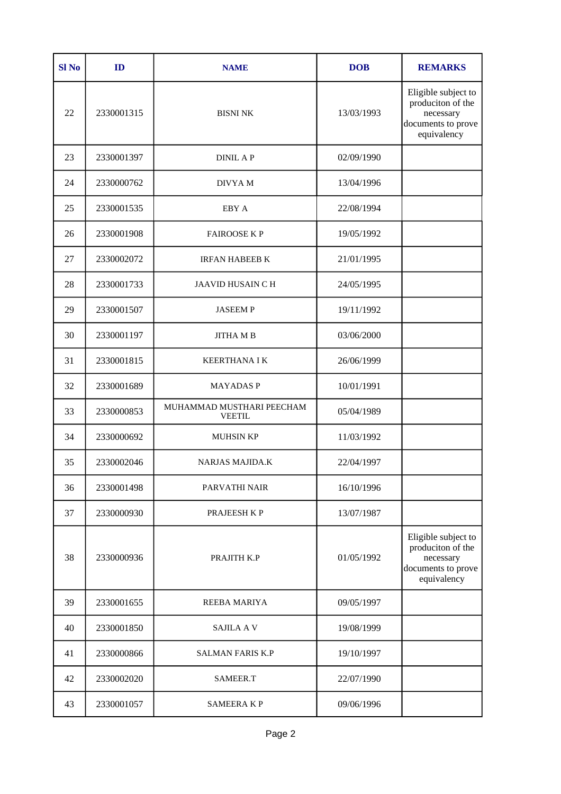| <b>Sl No</b> | ID         | <b>NAME</b>                                | <b>DOB</b> | <b>REMARKS</b>                                                                             |
|--------------|------------|--------------------------------------------|------------|--------------------------------------------------------------------------------------------|
| 22           | 2330001315 | <b>BISNI NK</b>                            | 13/03/1993 | Eligible subject to<br>produciton of the<br>necessary<br>documents to prove<br>equivalency |
| 23           | 2330001397 | <b>DINIL AP</b>                            | 02/09/1990 |                                                                                            |
| 24           | 2330000762 | DIVYA M                                    | 13/04/1996 |                                                                                            |
| 25           | 2330001535 | EBY A                                      | 22/08/1994 |                                                                                            |
| 26           | 2330001908 | <b>FAIROOSE KP</b>                         | 19/05/1992 |                                                                                            |
| 27           | 2330002072 | <b>IRFAN HABEEB K</b>                      | 21/01/1995 |                                                                                            |
| 28           | 2330001733 | <b>JAAVID HUSAIN C H</b>                   | 24/05/1995 |                                                                                            |
| 29           | 2330001507 | <b>JASEEMP</b>                             | 19/11/1992 |                                                                                            |
| 30           | 2330001197 | <b>JITHA MB</b>                            | 03/06/2000 |                                                                                            |
| 31           | 2330001815 | <b>KEERTHANA I K</b>                       | 26/06/1999 |                                                                                            |
| 32           | 2330001689 | <b>MAYADASP</b>                            | 10/01/1991 |                                                                                            |
| 33           | 2330000853 | MUHAMMAD MUSTHARI PEECHAM<br><b>VEETIL</b> | 05/04/1989 |                                                                                            |
| 34           | 2330000692 | <b>MUHSIN KP</b>                           | 11/03/1992 |                                                                                            |
| 35           | 2330002046 | <b>NARJAS MAJIDA.K</b>                     | 22/04/1997 |                                                                                            |
| 36           | 2330001498 | PARVATHI NAIR                              | 16/10/1996 |                                                                                            |
| 37           | 2330000930 | PRAJEESH K P                               | 13/07/1987 |                                                                                            |
| 38           | 2330000936 | PRAJITH K.P                                | 01/05/1992 | Eligible subject to<br>produciton of the<br>necessary<br>documents to prove<br>equivalency |
| 39           | 2330001655 | <b>REEBA MARIYA</b>                        | 09/05/1997 |                                                                                            |
| 40           | 2330001850 | <b>SAJILA A V</b>                          | 19/08/1999 |                                                                                            |
| 41           | 2330000866 | <b>SALMAN FARIS K.P</b>                    | 19/10/1997 |                                                                                            |
| 42           | 2330002020 | SAMEER.T                                   | 22/07/1990 |                                                                                            |
| 43           | 2330001057 | <b>SAMEERAKP</b>                           | 09/06/1996 |                                                                                            |